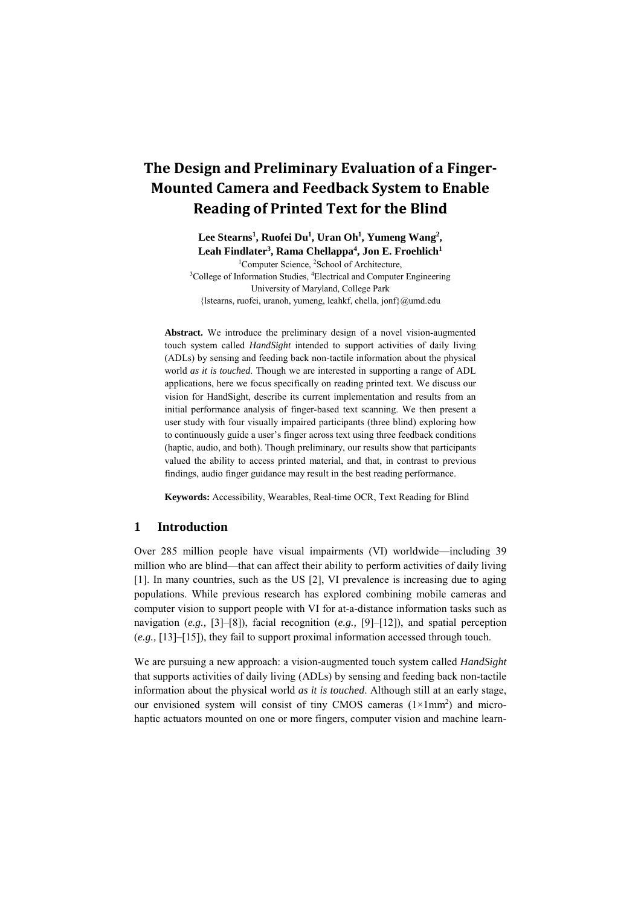# **The Design and Preliminary Evaluation of a Finger-Mounted Camera and Feedback System to Enable Reading of Printed Text for the Blind**

Lee Stearns<sup>1</sup>, Ruofei Du<sup>1</sup>, Uran Oh<sup>1</sup>, Yumeng Wang<sup>2</sup>, Leah Findlater<sup>3</sup>, Rama Chellappa<sup>4</sup>, Jon E. Froehlich<sup>1</sup> <sup>1</sup>Computer Science, <sup>2</sup>

<sup>1</sup>Computer Science, <sup>2</sup>School of Architecture,<br><sup>3</sup>College of Information Studies, <sup>4</sup>Electrical and Computer Engineering University of Maryland, College Park {lstearns, ruofei, uranoh, yumeng, leahkf, chella, jonf}@umd.edu

**Abstract.** We introduce the preliminary design of a novel vision-augmented touch system called *HandSight* intended to support activities of daily living (ADLs) by sensing and feeding back non-tactile information about the physical world *as it is touched*. Though we are interested in supporting a range of ADL applications, here we focus specifically on reading printed text. We discuss our vision for HandSight, describe its current implementation and results from an initial performance analysis of finger-based text scanning. We then present a user study with four visually impaired participants (three blind) exploring how to continuously guide a user's finger across text using three feedback conditions (haptic, audio, and both). Though preliminary, our results show that participants valued the ability to access printed material, and that, in contrast to previous findings, audio finger guidance may result in the best reading performance.

**Keywords:** Accessibility, Wearables, Real-time OCR, Text Reading for Blind

## **1 Introduction**

Over 285 million people have visual impairments (VI) worldwide—including 39 million who are blind—that can affect their ability to perform activities of daily living [1]. In many countries, such as the US [2], VI prevalence is increasing due to aging populations. While previous research has explored combining mobile cameras and computer vision to support people with VI for at-a-distance information tasks such as navigation (*e.g.,* [3]–[8]), facial recognition (*e.g.,* [9]–[12]), and spatial perception (*e.g.,* [13]–[15]), they fail to support proximal information accessed through touch.

We are pursuing a new approach: a vision-augmented touch system called *HandSight* that supports activities of daily living (ADLs) by sensing and feeding back non-tactile information about the physical world *as it is touched*. Although still at an early stage, our envisioned system will consist of tiny CMOS cameras  $(1\times1$ mm<sup>2</sup>) and microhaptic actuators mounted on one or more fingers, computer vision and machine learn-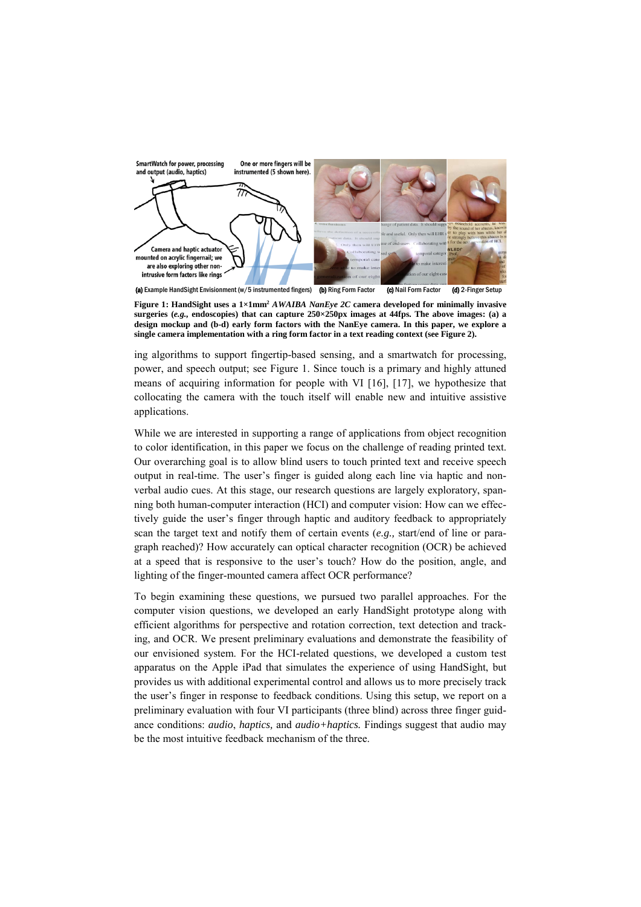

(a) Example HandSight Envisionment (w/5 instrumented fingers) (b) Ring Form Factor (c) Nail Form Factor (d) 2-Finger Setup

**Figure 1: HandSight uses a 1×1mm2** *AWAIBA NanEye 2C* **camera developed for minimally invasive surgeries (***e.g.,* **endoscopies) that can capture 250×250px images at 44fps. The above images: (a) a design mockup and (b-d) early form factors with the NanEye camera. In this paper, we explore a single camera implementation with a ring form factor in a text reading context (see Figure 2).**

ing algorithms to support fingertip-based sensing, and a smartwatch for processing, power, and speech output; see Figure 1. Since touch is a primary and highly attuned means of acquiring information for people with VI [16], [17], we hypothesize that collocating the camera with the touch itself will enable new and intuitive assistive applications.

While we are interested in supporting a range of applications from object recognition to color identification, in this paper we focus on the challenge of reading printed text. Our overarching goal is to allow blind users to touch printed text and receive speech output in real-time. The user's finger is guided along each line via haptic and nonverbal audio cues. At this stage, our research questions are largely exploratory, spanning both human-computer interaction (HCI) and computer vision: How can we effectively guide the user's finger through haptic and auditory feedback to appropriately scan the target text and notify them of certain events (*e.g.,* start/end of line or paragraph reached)? How accurately can optical character recognition (OCR) be achieved at a speed that is responsive to the user's touch? How do the position, angle, and lighting of the finger-mounted camera affect OCR performance?

To begin examining these questions, we pursued two parallel approaches. For the computer vision questions, we developed an early HandSight prototype along with efficient algorithms for perspective and rotation correction, text detection and tracking, and OCR. We present preliminary evaluations and demonstrate the feasibility of our envisioned system. For the HCI-related questions, we developed a custom test apparatus on the Apple iPad that simulates the experience of using HandSight, but provides us with additional experimental control and allows us to more precisely track the user's finger in response to feedback conditions. Using this setup, we report on a preliminary evaluation with four VI participants (three blind) across three finger guidance conditions: *audio*, *haptics,* and *audio+haptics.* Findings suggest that audio may be the most intuitive feedback mechanism of the three.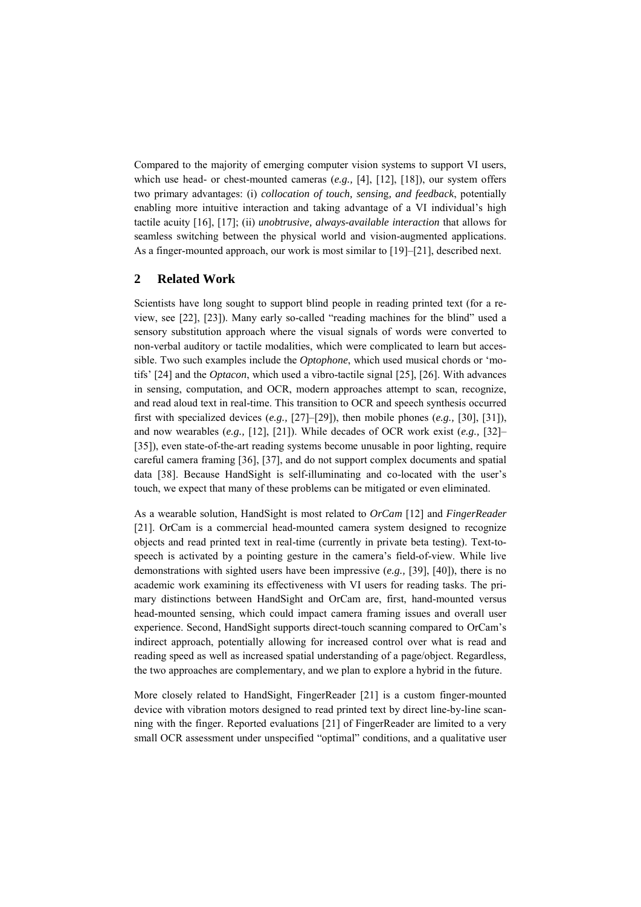Compared to the majority of emerging computer vision systems to support VI users, which use head- or chest-mounted cameras (*e.g.,* [4], [12], [18]), our system offers two primary advantages: (i) *collocation of touch, sensin*g*, and feedback*, potentially enabling more intuitive interaction and taking advantage of a VI individual's high tactile acuity [16], [17]; (ii) *unobtrusive, always-available interaction* that allows for seamless switching between the physical world and vision-augmented applications. As a finger-mounted approach, our work is most similar to [19]–[21], described next.

# **2 Related Work**

Scientists have long sought to support blind people in reading printed text (for a review, see [22], [23]). Many early so-called "reading machines for the blind" used a sensory substitution approach where the visual signals of words were converted to non-verbal auditory or tactile modalities, which were complicated to learn but accessible. Two such examples include the *Optophone*, which used musical chords or 'motifs' [24] and the *Optacon*, which used a vibro-tactile signal [25], [26]. With advances in sensing, computation, and OCR, modern approaches attempt to scan, recognize, and read aloud text in real-time. This transition to OCR and speech synthesis occurred first with specialized devices (*e.g.,* [27]–[29]), then mobile phones (*e.g.,* [30], [31]), and now wearables (*e.g.,* [12], [21]). While decades of OCR work exist (*e.g.,* [32]– [35]), even state-of-the-art reading systems become unusable in poor lighting, require careful camera framing [36], [37], and do not support complex documents and spatial data [38]. Because HandSight is self-illuminating and co-located with the user's touch, we expect that many of these problems can be mitigated or even eliminated.

As a wearable solution, HandSight is most related to *OrCam* [12] and *FingerReader*  [21]. OrCam is a commercial head-mounted camera system designed to recognize objects and read printed text in real-time (currently in private beta testing). Text-tospeech is activated by a pointing gesture in the camera's field-of-view. While live demonstrations with sighted users have been impressive (*e.g.,* [39], [40]), there is no academic work examining its effectiveness with VI users for reading tasks. The primary distinctions between HandSight and OrCam are, first, hand-mounted versus head-mounted sensing, which could impact camera framing issues and overall user experience. Second, HandSight supports direct-touch scanning compared to OrCam's indirect approach, potentially allowing for increased control over what is read and reading speed as well as increased spatial understanding of a page/object. Regardless, the two approaches are complementary, and we plan to explore a hybrid in the future.

More closely related to HandSight, FingerReader [21] is a custom finger-mounted device with vibration motors designed to read printed text by direct line-by-line scanning with the finger. Reported evaluations [21] of FingerReader are limited to a very small OCR assessment under unspecified "optimal" conditions, and a qualitative user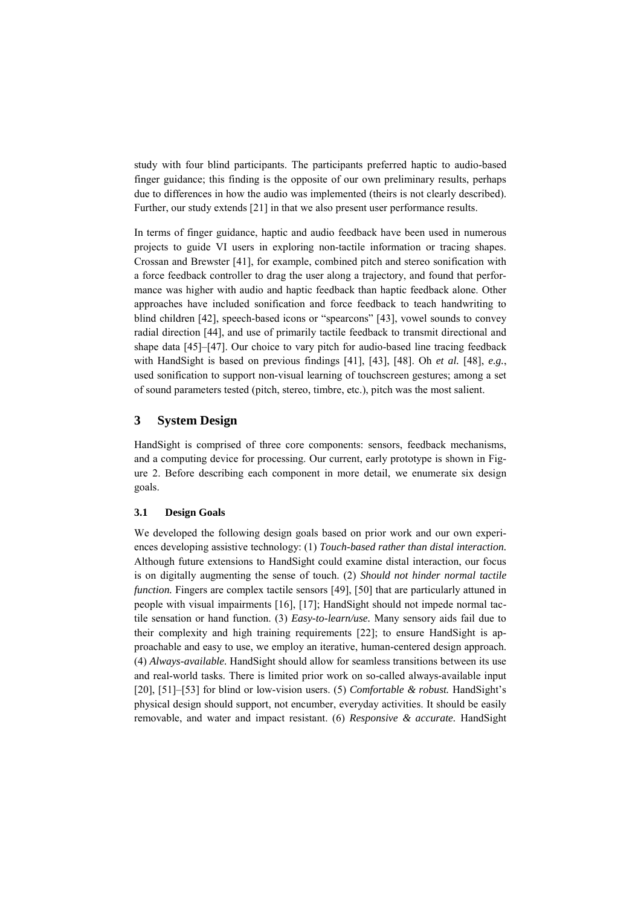study with four blind participants. The participants preferred haptic to audio-based finger guidance; this finding is the opposite of our own preliminary results, perhaps due to differences in how the audio was implemented (theirs is not clearly described). Further, our study extends [21] in that we also present user performance results.

In terms of finger guidance, haptic and audio feedback have been used in numerous projects to guide VI users in exploring non-tactile information or tracing shapes. Crossan and Brewster [41], for example, combined pitch and stereo sonification with a force feedback controller to drag the user along a trajectory, and found that performance was higher with audio and haptic feedback than haptic feedback alone. Other approaches have included sonification and force feedback to teach handwriting to blind children [42], speech-based icons or "spearcons" [43], vowel sounds to convey radial direction [44], and use of primarily tactile feedback to transmit directional and shape data [45]–[47]. Our choice to vary pitch for audio-based line tracing feedback with HandSight is based on previous findings [41], [43], [48]. Oh *et al.* [48], *e.g.*, used sonification to support non-visual learning of touchscreen gestures; among a set of sound parameters tested (pitch, stereo, timbre, etc.), pitch was the most salient.

# **3 System Design**

HandSight is comprised of three core components: sensors, feedback mechanisms, and a computing device for processing. Our current, early prototype is shown in Figure 2. Before describing each component in more detail, we enumerate six design goals.

## **3.1 Design Goals**

We developed the following design goals based on prior work and our own experiences developing assistive technology: (1) *Touch-based rather than distal interaction.* Although future extensions to HandSight could examine distal interaction, our focus is on digitally augmenting the sense of touch. (2) *Should not hinder normal tactile function.* Fingers are complex tactile sensors [49], [50] that are particularly attuned in people with visual impairments [16], [17]; HandSight should not impede normal tactile sensation or hand function. (3) *Easy-to-learn/use.* Many sensory aids fail due to their complexity and high training requirements [22]; to ensure HandSight is approachable and easy to use, we employ an iterative, human-centered design approach. (4) *Always-available.* HandSight should allow for seamless transitions between its use and real-world tasks. There is limited prior work on so-called always-available input [20], [51]–[53] for blind or low-vision users. (5) *Comfortable & robust*. HandSight's physical design should support, not encumber, everyday activities. It should be easily removable, and water and impact resistant. (6) *Responsive & accurate.* HandSight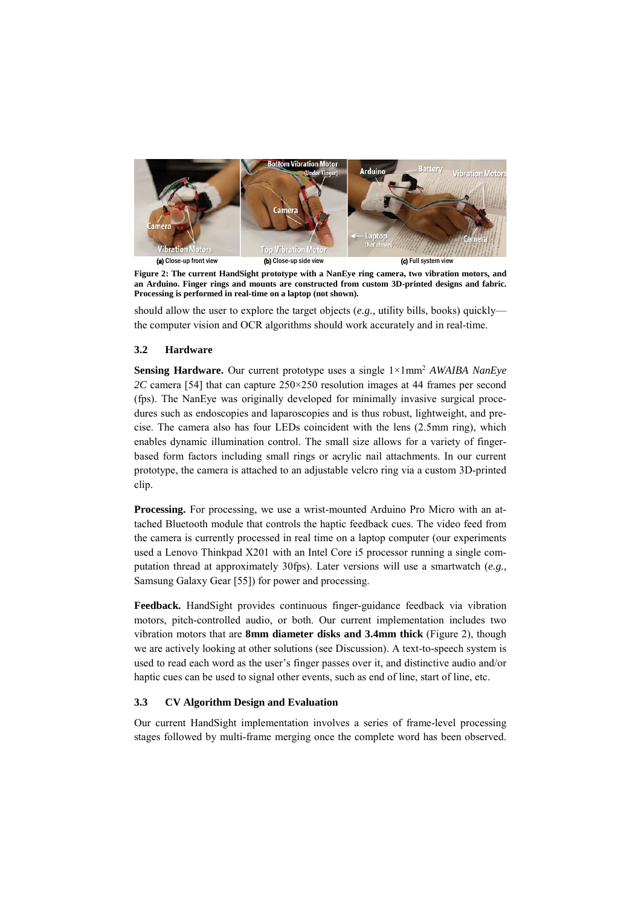

**Figure 2: The current HandSight prototype with a NanEye ring camera, two vibration motors, and an Arduino. Finger rings and mounts are constructed from custom 3D-printed designs and fabric. Processing is performed in real-time on a laptop (not shown).**

should allow the user to explore the target objects (*e.g.,* utility bills, books) quickly the computer vision and OCR algorithms should work accurately and in real-time.

### **3.2 Hardware**

**Sensing Hardware.** Our current prototype uses a single 1×1mm2 *AWAIBA NanEye 2C* camera [54] that can capture 250×250 resolution images at 44 frames per second (fps). The NanEye was originally developed for minimally invasive surgical procedures such as endoscopies and laparoscopies and is thus robust, lightweight, and precise. The camera also has four LEDs coincident with the lens (2.5mm ring), which enables dynamic illumination control. The small size allows for a variety of fingerbased form factors including small rings or acrylic nail attachments. In our current prototype, the camera is attached to an adjustable velcro ring via a custom 3D-printed clip.

**Processing.** For processing, we use a wrist-mounted Arduino Pro Micro with an attached Bluetooth module that controls the haptic feedback cues. The video feed from the camera is currently processed in real time on a laptop computer (our experiments used a Lenovo Thinkpad X201 with an Intel Core i5 processor running a single computation thread at approximately 30fps). Later versions will use a smartwatch (*e.g.,*  Samsung Galaxy Gear [55]) for power and processing.

**Feedback.** HandSight provides continuous finger-guidance feedback via vibration motors, pitch-controlled audio, or both. Our current implementation includes two vibration motors that are **8mm diameter disks and 3.4mm thick** (Figure 2), though we are actively looking at other solutions (see Discussion). A text-to-speech system is used to read each word as the user's finger passes over it, and distinctive audio and/or haptic cues can be used to signal other events, such as end of line, start of line, etc.

## **3.3 CV Algorithm Design and Evaluation**

Our current HandSight implementation involves a series of frame-level processing stages followed by multi-frame merging once the complete word has been observed.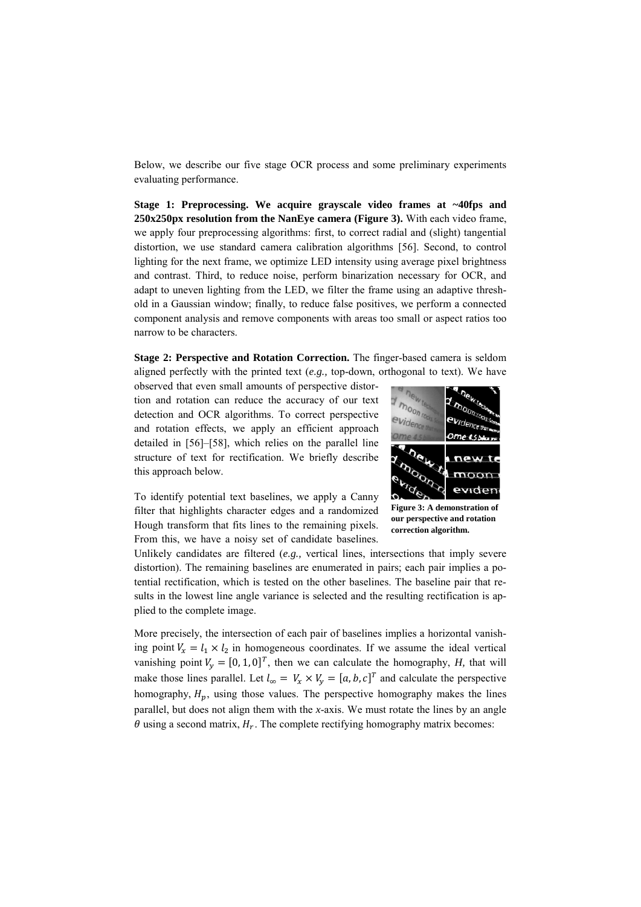Below, we describe our five stage OCR process and some preliminary experiments evaluating performance.

**Stage 1: Preprocessing. We acquire grayscale video frames at ~40fps and 250x250px resolution from the NanEye camera (Figure 3).** With each video frame, we apply four preprocessing algorithms: first, to correct radial and (slight) tangential distortion, we use standard camera calibration algorithms [56]. Second, to control lighting for the next frame, we optimize LED intensity using average pixel brightness and contrast. Third, to reduce noise, perform binarization necessary for OCR, and adapt to uneven lighting from the LED, we filter the frame using an adaptive threshold in a Gaussian window; finally, to reduce false positives, we perform a connected component analysis and remove components with areas too small or aspect ratios too narrow to be characters.

**Stage 2: Perspective and Rotation Correction.** The finger-based camera is seldom aligned perfectly with the printed text (*e.g.,* top-down, orthogonal to text). We have

observed that even small amounts of perspective distortion and rotation can reduce the accuracy of our text detection and OCR algorithms. To correct perspective and rotation effects, we apply an efficient approach detailed in [56]–[58], which relies on the parallel line structure of text for rectification. We briefly describe this approach below.

To identify potential text baselines, we apply a Canny filter that highlights character edges and a randomized Hough transform that fits lines to the remaining pixels. From this, we have a noisy set of candidate baselines.



**Figure 3: A demonstration of our perspective and rotation correction algorithm.**

Unlikely candidates are filtered (*e.g.,* vertical lines, intersections that imply severe distortion). The remaining baselines are enumerated in pairs; each pair implies a potential rectification, which is tested on the other baselines. The baseline pair that results in the lowest line angle variance is selected and the resulting rectification is applied to the complete image.

More precisely, the intersection of each pair of baselines implies a horizontal vanishing point  $V_x = l_1 \times l_2$  in homogeneous coordinates. If we assume the ideal vertical vanishing point  $V_v = [0, 1, 0]^T$ , then we can calculate the homography, *H*, that will make those lines parallel. Let  $l_{\infty} = V_x \times V_y = [a, b, c]^T$  and calculate the perspective homography,  $H_p$ , using those values. The perspective homography makes the lines parallel, but does not align them with the *x*-axis. We must rotate the lines by an angle  $\theta$  using a second matrix,  $H_r$ . The complete rectifying homography matrix becomes: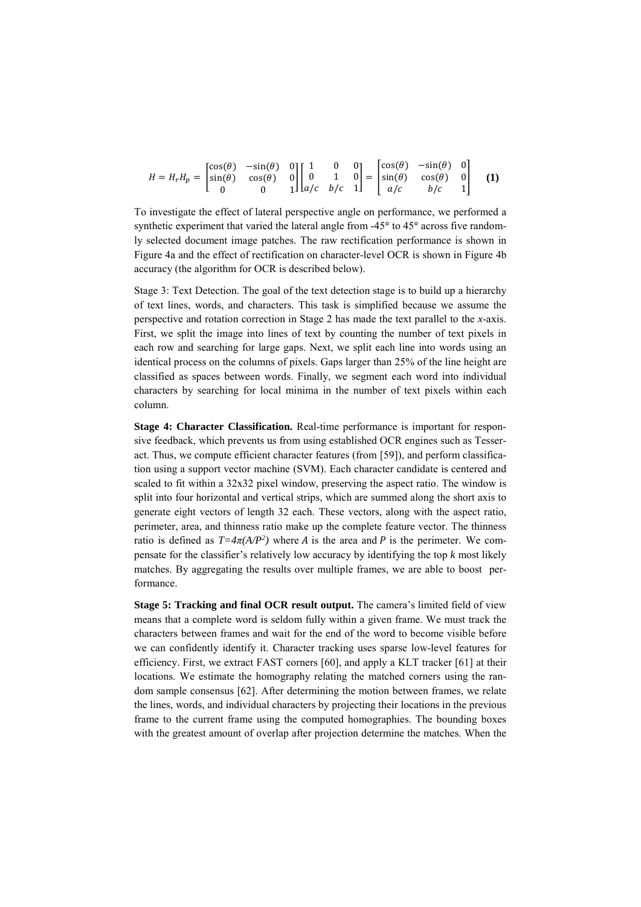$$
H = H_r H_p = \begin{bmatrix} \cos(\theta) & -\sin(\theta) & 0 \\ \sin(\theta) & \cos(\theta) & 0 \\ 0 & 0 & 1 \end{bmatrix} \begin{bmatrix} 1 & 0 & 0 \\ 0 & 1 & 0 \\ a/c & b/c & 1 \end{bmatrix} = \begin{bmatrix} \cos(\theta) & -\sin(\theta) & 0 \\ \sin(\theta) & \cos(\theta) & 0 \\ a/c & b/c & 1 \end{bmatrix} \tag{1}
$$

To investigate the effect of lateral perspective angle on performance, we performed a synthetic experiment that varied the lateral angle from -45**°** to 45**°** across five randomly selected document image patches. The raw rectification performance is shown in Figure 4a and the effect of rectification on character-level OCR is shown in Figure 4b accuracy (the algorithm for OCR is described below).

Stage 3: Text Detection. The goal of the text detection stage is to build up a hierarchy of text lines, words, and characters. This task is simplified because we assume the perspective and rotation correction in Stage 2 has made the text parallel to the *x*-axis. First, we split the image into lines of text by counting the number of text pixels in each row and searching for large gaps. Next, we split each line into words using an identical process on the columns of pixels. Gaps larger than 25% of the line height are classified as spaces between words. Finally, we segment each word into individual characters by searching for local minima in the number of text pixels within each column.

**Stage 4: Character Classification.** Real-time performance is important for responsive feedback, which prevents us from using established OCR engines such as Tesseract. Thus, we compute efficient character features (from [59]), and perform classification using a support vector machine (SVM). Each character candidate is centered and scaled to fit within a  $32x32$  pixel window, preserving the aspect ratio. The window is split into four horizontal and vertical strips, which are summed along the short axis to generate eight vectors of length 32 each. These vectors, along with the aspect ratio, perimeter, area, and thinness ratio make up the complete feature vector. The thinness ratio is defined as  $T=4\pi (A/P^2)$  where A is the area and P is the perimeter. We compensate for the classifier's relatively low accuracy by identifying the top *k* most likely matches. By aggregating the results over multiple frames, we are able to boost performance.

**Stage 5: Tracking and final OCR result output.** The camera's limited field of view means that a complete word is seldom fully within a given frame. We must track the characters between frames and wait for the end of the word to become visible before we can confidently identify it. Character tracking uses sparse low-level features for efficiency. First, we extract FAST corners [60], and apply a KLT tracker [61] at their locations. We estimate the homography relating the matched corners using the random sample consensus [62]. After determining the motion between frames, we relate the lines, words, and individual characters by projecting their locations in the previous frame to the current frame using the computed homographies. The bounding boxes with the greatest amount of overlap after projection determine the matches. When the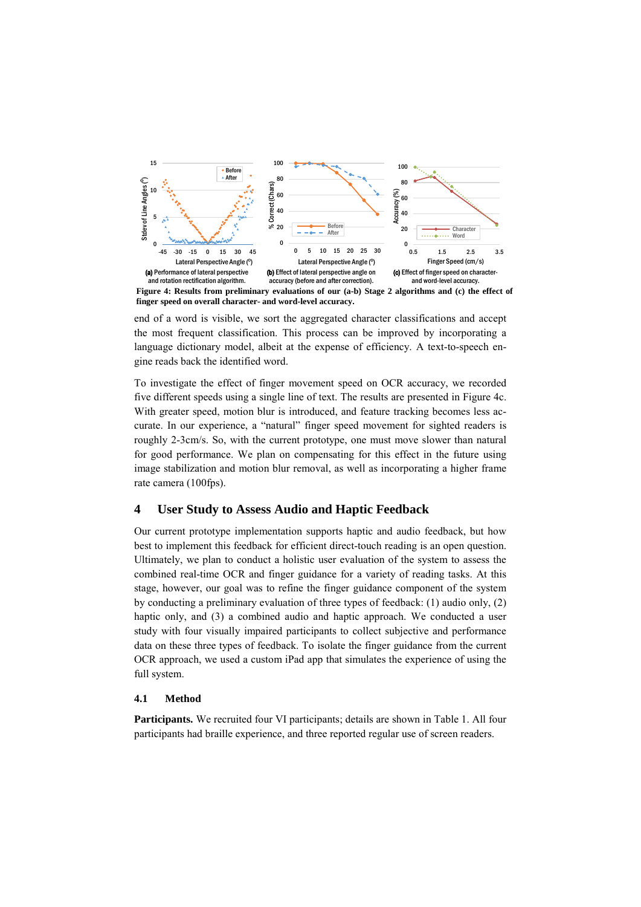

**Figure 4: Results from preliminary evaluations of our (a-b) Stage 2 algorithms and (c) the effect of finger speed on overall character- and word-level accuracy.** 

end of a word is visible, we sort the aggregated character classifications and accept the most frequent classification. This process can be improved by incorporating a language dictionary model, albeit at the expense of efficiency. A text-to-speech engine reads back the identified word.

To investigate the effect of finger movement speed on OCR accuracy, we recorded five different speeds using a single line of text. The results are presented in Figure 4c. With greater speed, motion blur is introduced, and feature tracking becomes less accurate. In our experience, a "natural" finger speed movement for sighted readers is roughly 2-3cm/s. So, with the current prototype, one must move slower than natural for good performance. We plan on compensating for this effect in the future using image stabilization and motion blur removal, as well as incorporating a higher frame rate camera (100fps).

# **4 User Study to Assess Audio and Haptic Feedback**

Our current prototype implementation supports haptic and audio feedback, but how best to implement this feedback for efficient direct-touch reading is an open question. Ultimately, we plan to conduct a holistic user evaluation of the system to assess the combined real-time OCR and finger guidance for a variety of reading tasks. At this stage, however, our goal was to refine the finger guidance component of the system by conducting a preliminary evaluation of three types of feedback: (1) audio only, (2) haptic only, and (3) a combined audio and haptic approach. We conducted a user study with four visually impaired participants to collect subjective and performance data on these three types of feedback. To isolate the finger guidance from the current OCR approach, we used a custom iPad app that simulates the experience of using the full system.

#### **4.1 Method**

**Participants.** We recruited four VI participants; details are shown in Table 1. All four participants had braille experience, and three reported regular use of screen readers.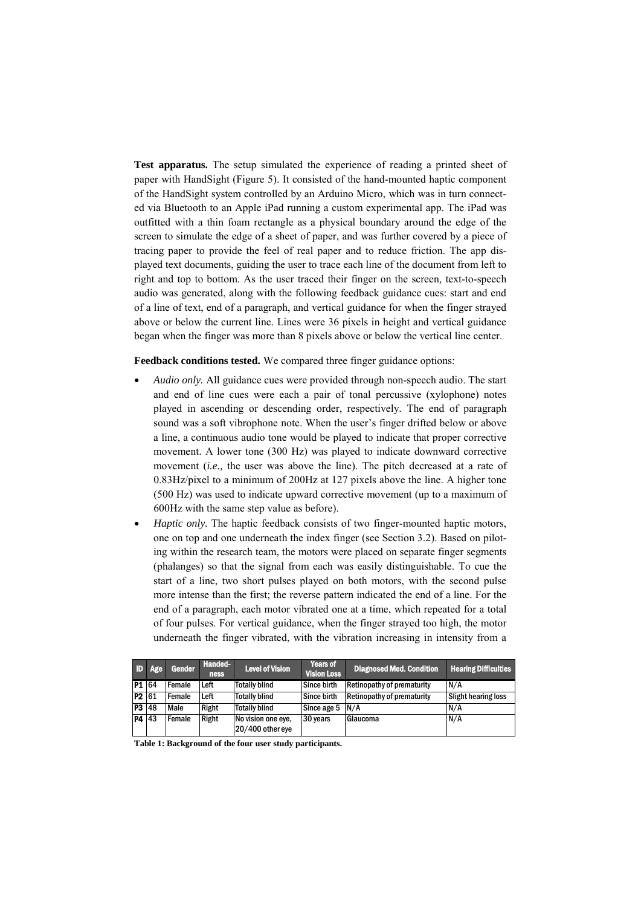**Test apparatus.** The setup simulated the experience of reading a printed sheet of paper with HandSight (Figure 5). It consisted of the hand-mounted haptic component of the HandSight system controlled by an Arduino Micro, which was in turn connected via Bluetooth to an Apple iPad running a custom experimental app. The iPad was outfitted with a thin foam rectangle as a physical boundary around the edge of the screen to simulate the edge of a sheet of paper, and was further covered by a piece of tracing paper to provide the feel of real paper and to reduce friction. The app displayed text documents, guiding the user to trace each line of the document from left to right and top to bottom. As the user traced their finger on the screen, text-to-speech audio was generated, along with the following feedback guidance cues: start and end of a line of text, end of a paragraph, and vertical guidance for when the finger strayed above or below the current line. Lines were 36 pixels in height and vertical guidance began when the finger was more than 8 pixels above or below the vertical line center.

**Feedback conditions tested.** We compared three finger guidance options:

- *Audio only.* All guidance cues were provided through non-speech audio. The start and end of line cues were each a pair of tonal percussive (xylophone) notes played in ascending or descending order, respectively. The end of paragraph sound was a soft vibrophone note. When the user's finger drifted below or above a line, a continuous audio tone would be played to indicate that proper corrective movement. A lower tone (300 Hz) was played to indicate downward corrective movement (*i.e.,* the user was above the line). The pitch decreased at a rate of 0.83Hz/pixel to a minimum of 200Hz at 127 pixels above the line. A higher tone (500 Hz) was used to indicate upward corrective movement (up to a maximum of 600Hz with the same step value as before).
- Haptic only. The haptic feedback consists of two finger-mounted haptic motors, one on top and one underneath the index finger (see Section 3.2). Based on piloting within the research team, the motors were placed on separate finger segments (phalanges) so that the signal from each was easily distinguishable. To cue the start of a line, two short pulses played on both motors, with the second pulse more intense than the first; the reverse pattern indicated the end of a line. For the end of a paragraph, each motor vibrated one at a time, which repeated for a total of four pulses. For vertical guidance, when the finger strayed too high, the motor underneath the finger vibrated, with the vibration increasing in intensity from a

|                   | <b>ID</b> Age | <b>Gender</b> | Handed-<br>ness | <b>Level of Vision</b>                 | <b>Years of</b><br><b>Vision Loss</b> | <b>Diagnosed Med. Condition</b>   | <b>Hearing Difficulties</b> |
|-------------------|---------------|---------------|-----------------|----------------------------------------|---------------------------------------|-----------------------------------|-----------------------------|
| P1 64             |               | <b>Female</b> | Left            | Totally blind                          | Since birth                           | <b>Retinopathy of prematurity</b> | N/A                         |
| P <sub>2</sub> 61 |               | Female        | Left            | <b>Totally blind</b>                   | Since birth                           | <b>Retinopathy of prematurity</b> | <b>Slight hearing loss</b>  |
| P3 48             |               | Male          | Right           | <b>Totally blind</b>                   | Since age 5                           | N/A                               | N/A                         |
| <b>P4</b> 43      |               | Female        | Right           | No vision one eye,<br>20/400 other eye | 30 years                              | Glaucoma                          | N/A                         |

**Table 1: Background of the four user study participants.**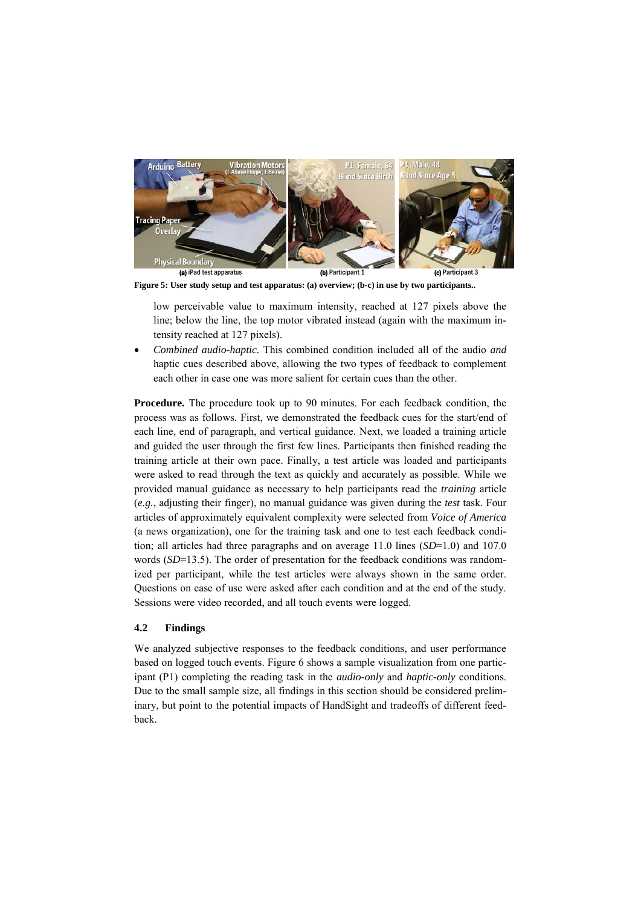

**Figure 5: User study setup and test apparatus: (a) overview; (b-c) in use by two participants..**

low perceivable value to maximum intensity, reached at 127 pixels above the line; below the line, the top motor vibrated instead (again with the maximum intensity reached at 127 pixels).

• *Combined audio-haptic.* This combined condition included all of the audio *and*  haptic cues described above, allowing the two types of feedback to complement each other in case one was more salient for certain cues than the other.

**Procedure.** The procedure took up to 90 minutes. For each feedback condition, the process was as follows. First, we demonstrated the feedback cues for the start/end of each line, end of paragraph, and vertical guidance. Next, we loaded a training article and guided the user through the first few lines. Participants then finished reading the training article at their own pace. Finally, a test article was loaded and participants were asked to read through the text as quickly and accurately as possible. While we provided manual guidance as necessary to help participants read the *training* article (*e.g.*, adjusting their finger), no manual guidance was given during the *test* task. Four articles of approximately equivalent complexity were selected from *Voice of America* (a news organization), one for the training task and one to test each feedback condition; all articles had three paragraphs and on average 11.0 lines (*SD*=1.0) and 107.0 words (*SD*=13.5). The order of presentation for the feedback conditions was randomized per participant, while the test articles were always shown in the same order. Questions on ease of use were asked after each condition and at the end of the study. Sessions were video recorded, and all touch events were logged.

## **4.2 Findings**

We analyzed subjective responses to the feedback conditions, and user performance based on logged touch events. Figure 6 shows a sample visualization from one participant (P1) completing the reading task in the *audio-only* and *haptic-only* conditions. Due to the small sample size, all findings in this section should be considered preliminary, but point to the potential impacts of HandSight and tradeoffs of different feedback.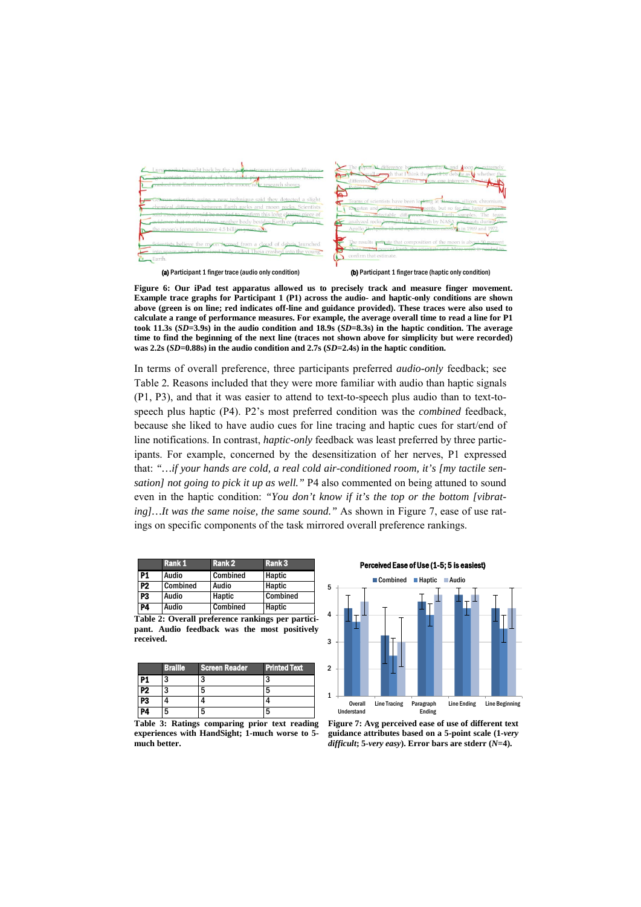

(a) Participant 1 finger trace (audio only condition) (b) Participant 1 finger trace (haptic only condition)

**Figure 6: Our iPad test apparatus allowed us to precisely track and measure finger movement. Example trace graphs for Participant 1 (P1) across the audio- and haptic-only conditions are shown above (green is on line; red indicates off-line and guidance provided). These traces were also used to calculate a range of performance measures. For example, the average overall time to read a line for P1 took 11.3s (***SD=***3.9s) in the audio condition and 18.9s (***SD=***8.3s) in the haptic condition. The average time to find the beginning of the next line (traces not shown above for simplicity but were recorded) was 2.2s (***SD=***0.88s) in the audio condition and 2.7s (***SD=***2.4s) in the haptic condition.**

In terms of overall preference, three participants preferred *audio-only* feedback; see Table 2*.* Reasons included that they were more familiar with audio than haptic signals (P1, P3), and that it was easier to attend to text-to-speech plus audio than to text-tospeech plus haptic (P4). P2's most preferred condition was the *combined* feedback, because she liked to have audio cues for line tracing and haptic cues for start/end of line notifications. In contrast, *haptic-only* feedback was least preferred by three participants. For example, concerned by the desensitization of her nerves, P1 expressed that: *"…if your hands are cold, a real cold air-conditioned room, it's [my tactile sensation] not going to pick it up as well."* P4 also commented on being attuned to sound even in the haptic condition: *"You don't know if it's the top or the bottom [vibrating]…It was the same noise, the same sound."* As shown in Figure 7, ease of use ratings on specific components of the task mirrored overall preference rankings.

|                | Rank 1   | Rank 2   | Rank 3   |
|----------------|----------|----------|----------|
| P <sub>1</sub> | Audio    | Combined | Haptic   |
| P <sub>2</sub> | Combined | Audio    | Haptic   |
| P <sub>3</sub> | Audio    | Haptic   | Combined |
| P <sub>4</sub> | Audio    | Combined | Haptic   |

**Table 2: Overall preference rankings per participant. Audio feedback was the most positively received.**

|                 | <b>Braille</b> | <b>Screen Reader</b> | <b>Printed Text</b> |
|-----------------|----------------|----------------------|---------------------|
| <b>P1</b>       | c              | ာ                    | ◠                   |
| $\overline{P2}$ | ◠              | 5                    | 5                   |
| P3              |                |                      |                     |
| <b>P4</b>       | 5              | 5                    | 5                   |

1 2 3 4 5 Overall Understand Line Tracing Paragraph Ending Line Ending Line Beginning Perceived Ease of Use (1-5; 5 is easiest) ■ Combined ■ Haptic ■ Audio

**Table 3: Ratings comparing prior text reading experiences with HandSight; 1-much worse to 5 much better.**

**Figure 7: Avg perceived ease of use of different text guidance attributes based on a 5-point scale (1***-very difficult***; 5***-very easy***). Error bars are stderr (***N***=4).**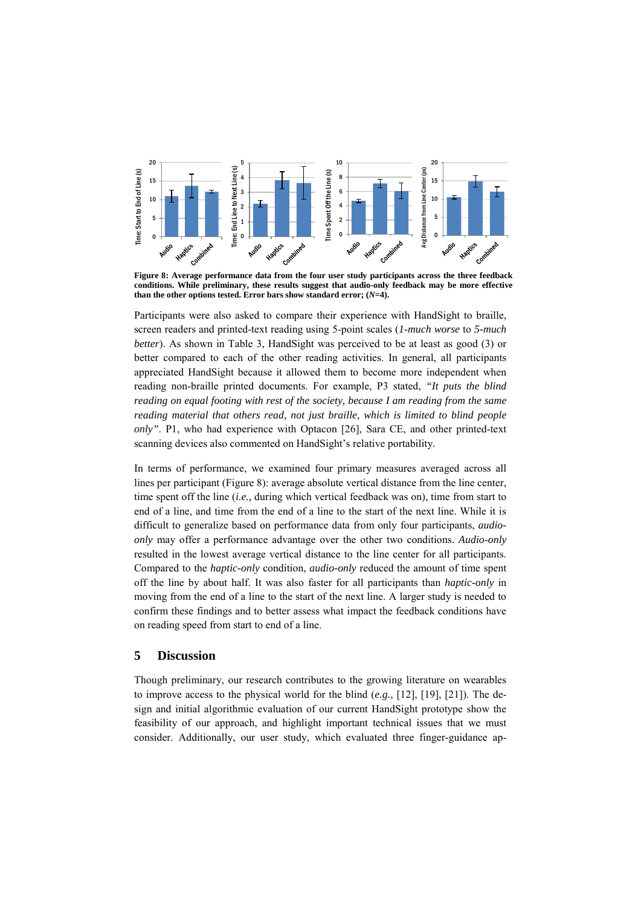

**Figure 8: Average performance data from the four user study participants across the three feedback conditions. While preliminary, these results suggest that audio-only feedback may be more effective than the other options tested. Error bars show standard error; (***N***=4).**

Participants were also asked to compare their experience with HandSight to braille, screen readers and printed-text reading using 5-point scales (*1-much worse* to *5-much better*). As shown in Table 3, HandSight was perceived to be at least as good (3) or better compared to each of the other reading activities. In general, all participants appreciated HandSight because it allowed them to become more independent when reading non-braille printed documents. For example, P3 stated, *"It puts the blind reading on equal footing with rest of the society, because I am reading from the same reading material that others read, not just braille, which is limited to blind people only"*. P1, who had experience with Optacon [26], Sara CE, and other printed-text scanning devices also commented on HandSight's relative portability.

In terms of performance, we examined four primary measures averaged across all lines per participant (Figure 8): average absolute vertical distance from the line center, time spent off the line (*i.e.,* during which vertical feedback was on), time from start to end of a line, and time from the end of a line to the start of the next line. While it is difficult to generalize based on performance data from only four participants, *audioonly* may offer a performance advantage over the other two conditions. *Audio-only*  resulted in the lowest average vertical distance to the line center for all participants. Compared to the *haptic-only* condition, *audio-only* reduced the amount of time spent off the line by about half. It was also faster for all participants than *haptic-only* in moving from the end of a line to the start of the next line. A larger study is needed to confirm these findings and to better assess what impact the feedback conditions have on reading speed from start to end of a line.

## **5 Discussion**

Though preliminary, our research contributes to the growing literature on wearables to improve access to the physical world for the blind (*e.g.,* [12], [19], [21]). The design and initial algorithmic evaluation of our current HandSight prototype show the feasibility of our approach, and highlight important technical issues that we must consider. Additionally, our user study, which evaluated three finger-guidance ap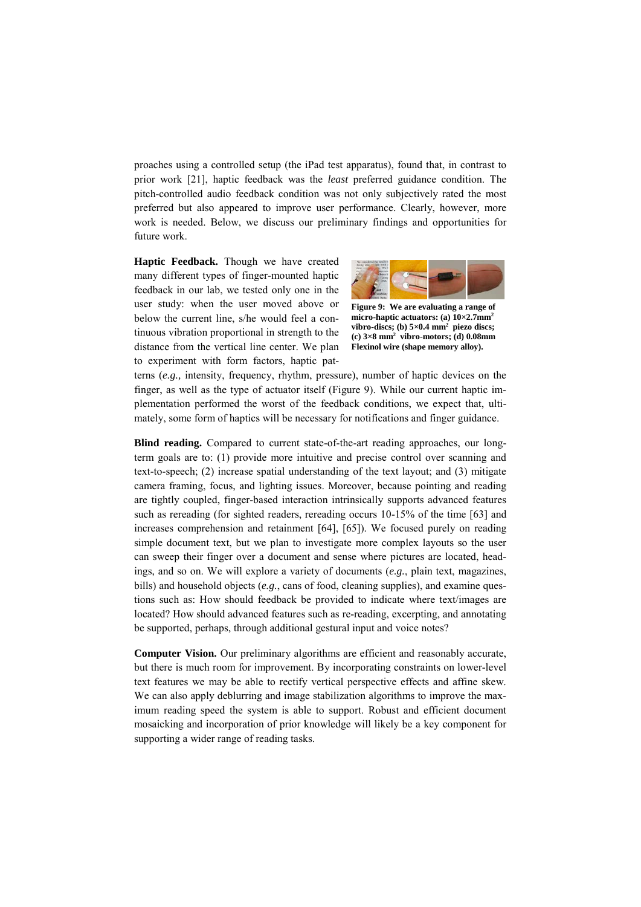proaches using a controlled setup (the iPad test apparatus), found that, in contrast to prior work [21], haptic feedback was the *least* preferred guidance condition. The pitch-controlled audio feedback condition was not only subjectively rated the most preferred but also appeared to improve user performance. Clearly, however, more work is needed. Below, we discuss our preliminary findings and opportunities for future work.

**Haptic Feedback.** Though we have created many different types of finger-mounted haptic feedback in our lab, we tested only one in the user study: when the user moved above or below the current line, s/he would feel a continuous vibration proportional in strength to the distance from the vertical line center. We plan to experiment with form factors, haptic pat-



**Figure 9: We are evaluating a range of micro-haptic actuators: (a) 10×2.7mm2 vibro-discs; (b) 5×0.4 mm2 piezo discs; (c) 3×8 mm2 vibro-motors; (d) 0.08mm Flexinol wire (shape memory alloy).**

terns (*e.g.,* intensity, frequency, rhythm, pressure), number of haptic devices on the finger, as well as the type of actuator itself (Figure 9). While our current haptic implementation performed the worst of the feedback conditions, we expect that, ultimately, some form of haptics will be necessary for notifications and finger guidance.

**Blind reading.** Compared to current state-of-the-art reading approaches, our longterm goals are to: (1) provide more intuitive and precise control over scanning and text-to-speech; (2) increase spatial understanding of the text layout; and (3) mitigate camera framing, focus, and lighting issues. Moreover, because pointing and reading are tightly coupled, finger-based interaction intrinsically supports advanced features such as rereading (for sighted readers, rereading occurs 10-15% of the time [63] and increases comprehension and retainment [64], [65]). We focused purely on reading simple document text, but we plan to investigate more complex layouts so the user can sweep their finger over a document and sense where pictures are located, headings, and so on. We will explore a variety of documents (*e.g.*, plain text, magazines, bills) and household objects (*e.g.*, cans of food, cleaning supplies), and examine questions such as: How should feedback be provided to indicate where text/images are located? How should advanced features such as re-reading, excerpting, and annotating be supported, perhaps, through additional gestural input and voice notes?

**Computer Vision.** Our preliminary algorithms are efficient and reasonably accurate, but there is much room for improvement. By incorporating constraints on lower-level text features we may be able to rectify vertical perspective effects and affine skew. We can also apply deblurring and image stabilization algorithms to improve the maximum reading speed the system is able to support. Robust and efficient document mosaicking and incorporation of prior knowledge will likely be a key component for supporting a wider range of reading tasks.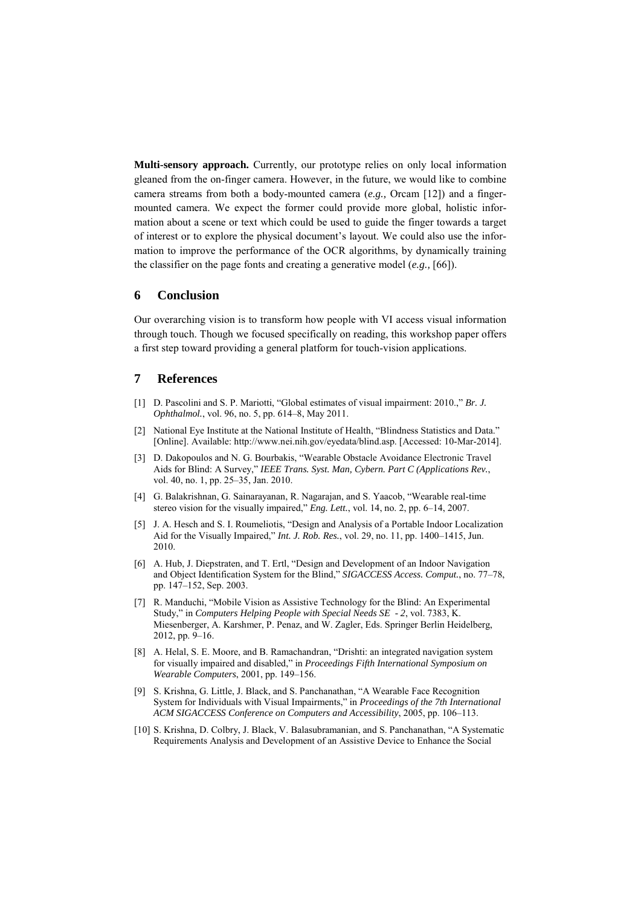**Multi-sensory approach.** Currently, our prototype relies on only local information gleaned from the on-finger camera. However, in the future, we would like to combine camera streams from both a body-mounted camera (*e.g.,* Orcam [12]) and a fingermounted camera. We expect the former could provide more global, holistic information about a scene or text which could be used to guide the finger towards a target of interest or to explore the physical document's layout. We could also use the information to improve the performance of the OCR algorithms, by dynamically training the classifier on the page fonts and creating a generative model (*e.g.,* [66]).

## **6 Conclusion**

Our overarching vision is to transform how people with VI access visual information through touch. Though we focused specifically on reading, this workshop paper offers a first step toward providing a general platform for touch-vision applications.

### **7 References**

- [1] D. Pascolini and S. P. Mariotti, "Global estimates of visual impairment: 2010.," *Br. J. Ophthalmol.*, vol. 96, no. 5, pp. 614–8, May 2011.
- [2] National Eye Institute at the National Institute of Health, "Blindness Statistics and Data." [Online]. Available: http://www.nei.nih.gov/eyedata/blind.asp. [Accessed: 10-Mar-2014].
- [3] D. Dakopoulos and N. G. Bourbakis, "Wearable Obstacle Avoidance Electronic Travel Aids for Blind: A Survey," *IEEE Trans. Syst. Man, Cybern. Part C (Applications Rev.*, vol. 40, no. 1, pp. 25–35, Jan. 2010.
- [4] G. Balakrishnan, G. Sainarayanan, R. Nagarajan, and S. Yaacob, "Wearable real-time stereo vision for the visually impaired," *Eng. Lett.*, vol. 14, no. 2, pp. 6–14, 2007.
- [5] J. A. Hesch and S. I. Roumeliotis, "Design and Analysis of a Portable Indoor Localization Aid for the Visually Impaired," *Int. J. Rob. Res.*, vol. 29, no. 11, pp. 1400–1415, Jun. 2010.
- [6] A. Hub, J. Diepstraten, and T. Ertl, "Design and Development of an Indoor Navigation and Object Identification System for the Blind," *SIGACCESS Access. Comput.*, no. 77–78, pp. 147–152, Sep. 2003.
- [7] R. Manduchi, "Mobile Vision as Assistive Technology for the Blind: An Experimental Study," in *Computers Helping People with Special Needs SE - 2*, vol. 7383, K. Miesenberger, A. Karshmer, P. Penaz, and W. Zagler, Eds. Springer Berlin Heidelberg, 2012, pp. 9–16.
- [8] A. Helal, S. E. Moore, and B. Ramachandran, "Drishti: an integrated navigation system for visually impaired and disabled," in *Proceedings Fifth International Symposium on Wearable Computers*, 2001, pp. 149–156.
- [9] S. Krishna, G. Little, J. Black, and S. Panchanathan, "A Wearable Face Recognition System for Individuals with Visual Impairments," in *Proceedings of the 7th International ACM SIGACCESS Conference on Computers and Accessibility*, 2005, pp. 106–113.
- [10] S. Krishna, D. Colbry, J. Black, V. Balasubramanian, and S. Panchanathan, "A Systematic Requirements Analysis and Development of an Assistive Device to Enhance the Social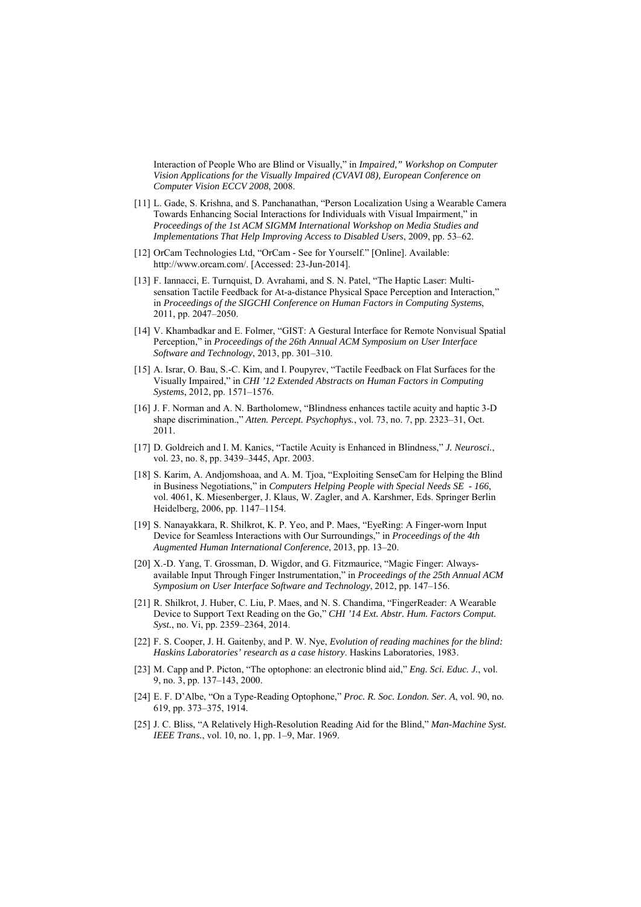Interaction of People Who are Blind or Visually," in *Impaired," Workshop on Computer Vision Applications for the Visually Impaired (CVAVI 08), European Conference on Computer Vision ECCV 2008*, 2008.

- [11] L. Gade, S. Krishna, and S. Panchanathan, "Person Localization Using a Wearable Camera Towards Enhancing Social Interactions for Individuals with Visual Impairment," in *Proceedings of the 1st ACM SIGMM International Workshop on Media Studies and Implementations That Help Improving Access to Disabled Users*, 2009, pp. 53–62.
- [12] OrCam Technologies Ltd, "OrCam See for Yourself." [Online]. Available: http://www.orcam.com/. [Accessed: 23-Jun-2014].
- [13] F. Iannacci, E. Turnquist, D. Avrahami, and S. N. Patel, "The Haptic Laser: Multisensation Tactile Feedback for At-a-distance Physical Space Perception and Interaction," in *Proceedings of the SIGCHI Conference on Human Factors in Computing Systems*, 2011, pp. 2047–2050.
- [14] V. Khambadkar and E. Folmer, "GIST: A Gestural Interface for Remote Nonvisual Spatial Perception," in *Proceedings of the 26th Annual ACM Symposium on User Interface Software and Technology*, 2013, pp. 301–310.
- [15] A. Israr, O. Bau, S.-C. Kim, and I. Poupyrev, "Tactile Feedback on Flat Surfaces for the Visually Impaired," in *CHI '12 Extended Abstracts on Human Factors in Computing Systems*, 2012, pp. 1571–1576.
- [16] J. F. Norman and A. N. Bartholomew, "Blindness enhances tactile acuity and haptic 3-D shape discrimination.," *Atten. Percept. Psychophys.*, vol. 73, no. 7, pp. 2323–31, Oct. 2011.
- [17] D. Goldreich and I. M. Kanics, "Tactile Acuity is Enhanced in Blindness," *J. Neurosci.*, vol. 23, no. 8, pp. 3439–3445, Apr. 2003.
- [18] S. Karim, A. Andjomshoaa, and A. M. Tjoa, "Exploiting SenseCam for Helping the Blind in Business Negotiations," in *Computers Helping People with Special Needs SE - 166*, vol. 4061, K. Miesenberger, J. Klaus, W. Zagler, and A. Karshmer, Eds. Springer Berlin Heidelberg, 2006, pp. 1147–1154.
- [19] S. Nanayakkara, R. Shilkrot, K. P. Yeo, and P. Maes, "EyeRing: A Finger-worn Input Device for Seamless Interactions with Our Surroundings," in *Proceedings of the 4th Augmented Human International Conference*, 2013, pp. 13–20.
- [20] X.-D. Yang, T. Grossman, D. Wigdor, and G. Fitzmaurice, "Magic Finger: Alwaysavailable Input Through Finger Instrumentation," in *Proceedings of the 25th Annual ACM Symposium on User Interface Software and Technology*, 2012, pp. 147–156.
- [21] R. Shilkrot, J. Huber, C. Liu, P. Maes, and N. S. Chandima, "FingerReader: A Wearable Device to Support Text Reading on the Go," *CHI '14 Ext. Abstr. Hum. Factors Comput. Syst.*, no. Vi, pp. 2359–2364, 2014.
- [22] F. S. Cooper, J. H. Gaitenby, and P. W. Nye, *Evolution of reading machines for the blind: Haskins Laboratories' research as a case history*. Haskins Laboratories, 1983.
- [23] M. Capp and P. Picton, "The optophone: an electronic blind aid," *Eng. Sci. Educ. J.*, vol. 9, no. 3, pp. 137–143, 2000.
- [24] E. F. D'Albe, "On a Type-Reading Optophone," *Proc. R. Soc. London. Ser. A*, vol. 90, no. 619, pp. 373–375, 1914.
- [25] J. C. Bliss, "A Relatively High-Resolution Reading Aid for the Blind," *Man-Machine Syst. IEEE Trans.*, vol. 10, no. 1, pp. 1–9, Mar. 1969.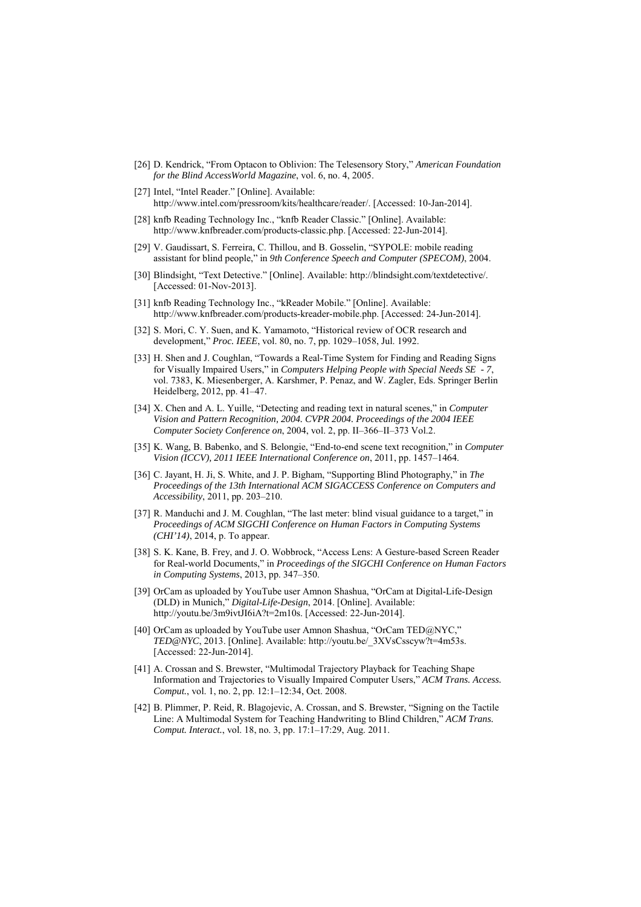- [26] D. Kendrick, "From Optacon to Oblivion: The Telesensory Story," *American Foundation for the Blind AccessWorld Magazine*, vol. 6, no. 4, 2005.
- [27] Intel, "Intel Reader." [Online]. Available: http://www.intel.com/pressroom/kits/healthcare/reader/. [Accessed: 10-Jan-2014].
- [28] knfb Reading Technology Inc., "knfb Reader Classic." [Online]. Available: http://www.knfbreader.com/products-classic.php. [Accessed: 22-Jun-2014].
- [29] V. Gaudissart, S. Ferreira, C. Thillou, and B. Gosselin, "SYPOLE: mobile reading assistant for blind people," in *9th Conference Speech and Computer (SPECOM)*, 2004.
- [30] Blindsight, "Text Detective." [Online]. Available: http://blindsight.com/textdetective/. [Accessed: 01-Nov-2013].
- [31] knfb Reading Technology Inc., "kReader Mobile." [Online]. Available: http://www.knfbreader.com/products-kreader-mobile.php. [Accessed: 24-Jun-2014].
- [32] S. Mori, C. Y. Suen, and K. Yamamoto, "Historical review of OCR research and development," *Proc. IEEE*, vol. 80, no. 7, pp. 1029–1058, Jul. 1992.
- [33] H. Shen and J. Coughlan, "Towards a Real-Time System for Finding and Reading Signs for Visually Impaired Users," in *Computers Helping People with Special Needs SE - 7*, vol. 7383, K. Miesenberger, A. Karshmer, P. Penaz, and W. Zagler, Eds. Springer Berlin Heidelberg, 2012, pp. 41–47.
- [34] X. Chen and A. L. Yuille, "Detecting and reading text in natural scenes," in *Computer Vision and Pattern Recognition, 2004. CVPR 2004. Proceedings of the 2004 IEEE Computer Society Conference on*, 2004, vol. 2, pp. II–366–II–373 Vol.2.
- [35] K. Wang, B. Babenko, and S. Belongie, "End-to-end scene text recognition," in *Computer Vision (ICCV), 2011 IEEE International Conference on*, 2011, pp. 1457–1464.
- [36] C. Jayant, H. Ji, S. White, and J. P. Bigham, "Supporting Blind Photography," in *The Proceedings of the 13th International ACM SIGACCESS Conference on Computers and Accessibility*, 2011, pp. 203–210.
- [37] R. Manduchi and J. M. Coughlan, "The last meter: blind visual guidance to a target," in *Proceedings of ACM SIGCHI Conference on Human Factors in Computing Systems (CHI'14)*, 2014, p. To appear.
- [38] S. K. Kane, B. Frey, and J. O. Wobbrock, "Access Lens: A Gesture-based Screen Reader for Real-world Documents," in *Proceedings of the SIGCHI Conference on Human Factors in Computing Systems*, 2013, pp. 347–350.
- [39] OrCam as uploaded by YouTube user Amnon Shashua, "OrCam at Digital-Life-Design (DLD) in Munich," *Digital-Life-Design*, 2014. [Online]. Available: http://youtu.be/3m9ivtJI6iA?t=2m10s. [Accessed: 22-Jun-2014].
- [40] OrCam as uploaded by YouTube user Amnon Shashua, "OrCam TED@NYC," *TED@NYC*, 2013. [Online]. Available: http://youtu.be/\_3XVsCsscyw?t=4m53s. [Accessed: 22-Jun-2014].
- [41] A. Crossan and S. Brewster, "Multimodal Trajectory Playback for Teaching Shape Information and Trajectories to Visually Impaired Computer Users," *ACM Trans. Access. Comput.*, vol. 1, no. 2, pp. 12:1–12:34, Oct. 2008.
- [42] B. Plimmer, P. Reid, R. Blagojevic, A. Crossan, and S. Brewster, "Signing on the Tactile Line: A Multimodal System for Teaching Handwriting to Blind Children," *ACM Trans. Comput. Interact.*, vol. 18, no. 3, pp. 17:1–17:29, Aug. 2011.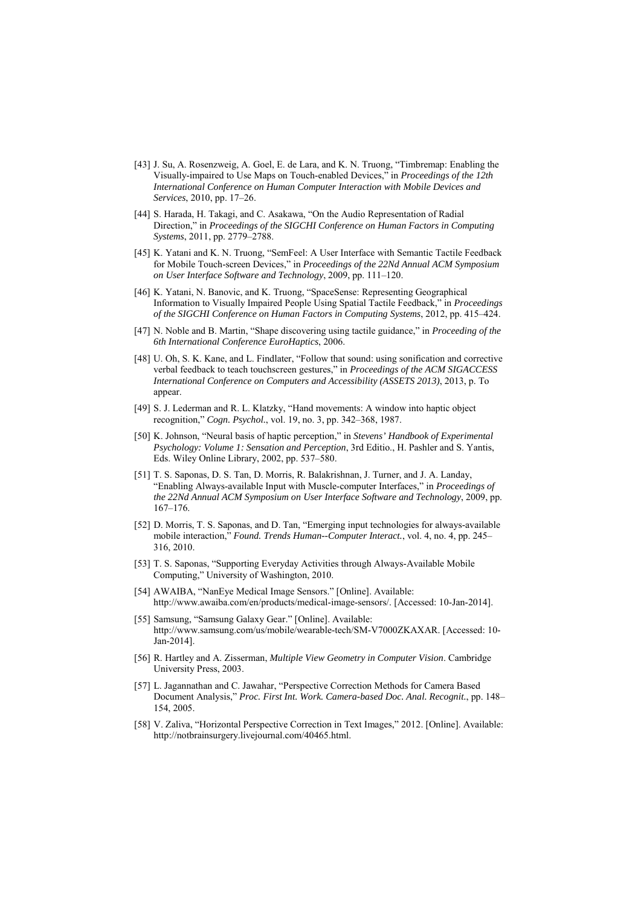- [43] J. Su, A. Rosenzweig, A. Goel, E. de Lara, and K. N. Truong, "Timbremap: Enabling the Visually-impaired to Use Maps on Touch-enabled Devices," in *Proceedings of the 12th International Conference on Human Computer Interaction with Mobile Devices and Services*, 2010, pp. 17–26.
- [44] S. Harada, H. Takagi, and C. Asakawa, "On the Audio Representation of Radial Direction," in *Proceedings of the SIGCHI Conference on Human Factors in Computing Systems*, 2011, pp. 2779–2788.
- [45] K. Yatani and K. N. Truong, "SemFeel: A User Interface with Semantic Tactile Feedback for Mobile Touch-screen Devices," in *Proceedings of the 22Nd Annual ACM Symposium on User Interface Software and Technology*, 2009, pp. 111–120.
- [46] K. Yatani, N. Banovic, and K. Truong, "SpaceSense: Representing Geographical Information to Visually Impaired People Using Spatial Tactile Feedback," in *Proceedings of the SIGCHI Conference on Human Factors in Computing Systems*, 2012, pp. 415–424.
- [47] N. Noble and B. Martin, "Shape discovering using tactile guidance," in *Proceeding of the 6th International Conference EuroHaptics*, 2006.
- [48] U. Oh, S. K. Kane, and L. Findlater, "Follow that sound: using sonification and corrective verbal feedback to teach touchscreen gestures," in *Proceedings of the ACM SIGACCESS International Conference on Computers and Accessibility (ASSETS 2013)*, 2013, p. To appear.
- [49] S. J. Lederman and R. L. Klatzky, "Hand movements: A window into haptic object recognition," *Cogn. Psychol.*, vol. 19, no. 3, pp. 342–368, 1987.
- [50] K. Johnson, "Neural basis of haptic perception," in *Stevens' Handbook of Experimental Psychology: Volume 1: Sensation and Perception*, 3rd Editio., H. Pashler and S. Yantis, Eds. Wiley Online Library, 2002, pp. 537–580.
- [51] T. S. Saponas, D. S. Tan, D. Morris, R. Balakrishnan, J. Turner, and J. A. Landay, "Enabling Always-available Input with Muscle-computer Interfaces," in *Proceedings of the 22Nd Annual ACM Symposium on User Interface Software and Technology*, 2009, pp. 167–176.
- [52] D. Morris, T. S. Saponas, and D. Tan, "Emerging input technologies for always-available mobile interaction," *Found. Trends Human--Computer Interact.*, vol. 4, no. 4, pp. 245– 316, 2010.
- [53] T. S. Saponas, "Supporting Everyday Activities through Always-Available Mobile Computing," University of Washington, 2010.
- [54] AWAIBA, "NanEye Medical Image Sensors." [Online]. Available: http://www.awaiba.com/en/products/medical-image-sensors/. [Accessed: 10-Jan-2014].
- [55] Samsung, "Samsung Galaxy Gear." [Online]. Available: http://www.samsung.com/us/mobile/wearable-tech/SM-V7000ZKAXAR. [Accessed: 10- Jan-2014].
- [56] R. Hartley and A. Zisserman, *Multiple View Geometry in Computer Vision*. Cambridge University Press, 2003.
- [57] L. Jagannathan and C. Jawahar, "Perspective Correction Methods for Camera Based Document Analysis," *Proc. First Int. Work. Camera-based Doc. Anal. Recognit.*, pp. 148– 154, 2005.
- [58] V. Zaliva, "Horizontal Perspective Correction in Text Images," 2012. [Online]. Available: http://notbrainsurgery.livejournal.com/40465.html.